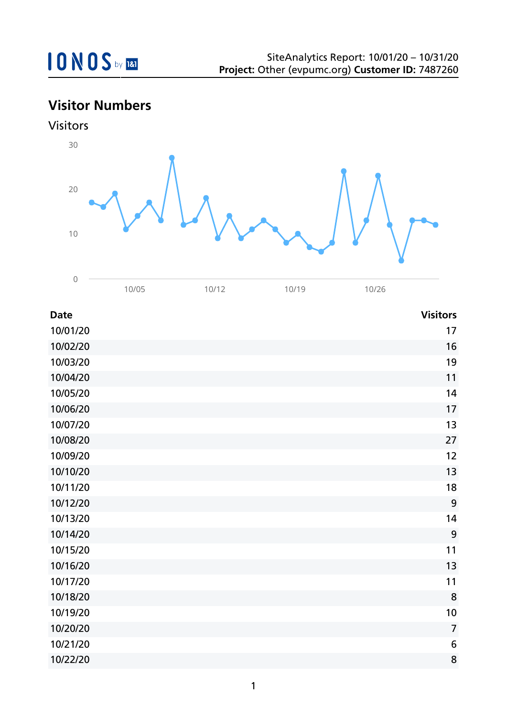

# **Visitor Numbers**



| <b>Date</b> | <b>Visitors</b>  |
|-------------|------------------|
| 10/01/20    | 17               |
| 10/02/20    | 16               |
| 10/03/20    | 19               |
| 10/04/20    | 11               |
| 10/05/20    | 14               |
| 10/06/20    | 17               |
| 10/07/20    | 13               |
| 10/08/20    | 27               |
| 10/09/20    | 12               |
| 10/10/20    | 13               |
| 10/11/20    | 18               |
| 10/12/20    | 9                |
| 10/13/20    | 14               |
| 10/14/20    | $\boldsymbol{9}$ |
| 10/15/20    | 11               |
| 10/16/20    | 13               |
| 10/17/20    | 11               |
| 10/18/20    | 8                |
| 10/19/20    | 10               |
| 10/20/20    | $\overline{7}$   |
| 10/21/20    | $\boldsymbol{6}$ |
| 10/22/20    | 8                |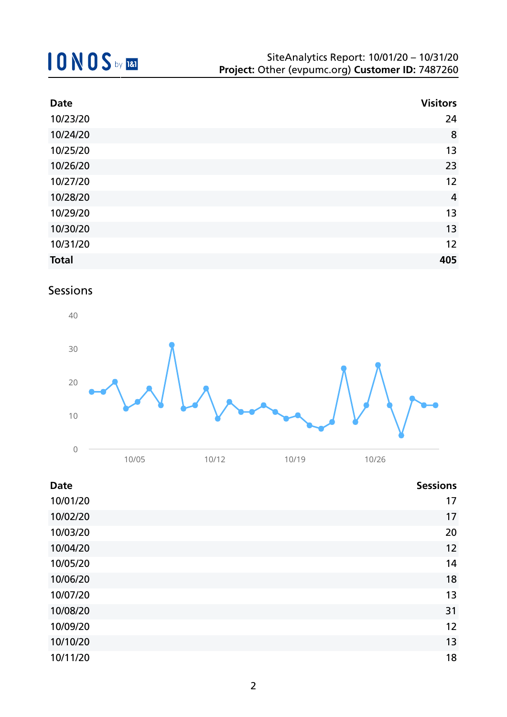| <b>Date</b>  | <b>Visitors</b> |
|--------------|-----------------|
| 10/23/20     | 24              |
| 10/24/20     | 8               |
| 10/25/20     | 13              |
| 10/26/20     | 23              |
| 10/27/20     | 12              |
| 10/28/20     | $\overline{4}$  |
| 10/29/20     | 13              |
| 10/30/20     | 13              |
| 10/31/20     | 12              |
| <b>Total</b> | 405             |

### Sessions



| <b>Date</b> | <b>Sessions</b> |
|-------------|-----------------|
| 10/01/20    | 17              |
| 10/02/20    | 17              |
| 10/03/20    | 20              |
| 10/04/20    | 12              |
| 10/05/20    | 14              |
| 10/06/20    | 18              |
| 10/07/20    | 13              |
| 10/08/20    | 31              |
| 10/09/20    | 12              |
| 10/10/20    | 13              |
| 10/11/20    | 18              |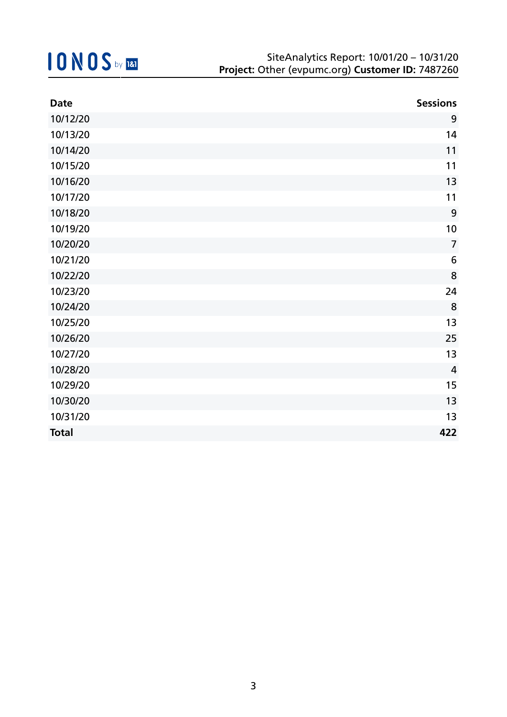| <b>Date</b>  | <b>Sessions</b> |
|--------------|-----------------|
| 10/12/20     | 9               |
| 10/13/20     | 14              |
| 10/14/20     | 11              |
| 10/15/20     | 11              |
| 10/16/20     | 13              |
| 10/17/20     | 11              |
| 10/18/20     | 9               |
| 10/19/20     | 10              |
| 10/20/20     | $\overline{7}$  |
| 10/21/20     | $6\phantom{1}6$ |
| 10/22/20     | 8               |
| 10/23/20     | 24              |
| 10/24/20     | 8               |
| 10/25/20     | 13              |
| 10/26/20     | 25              |
| 10/27/20     | 13              |
| 10/28/20     | $\overline{4}$  |
| 10/29/20     | 15              |
| 10/30/20     | 13              |
| 10/31/20     | 13              |
| <b>Total</b> | 422             |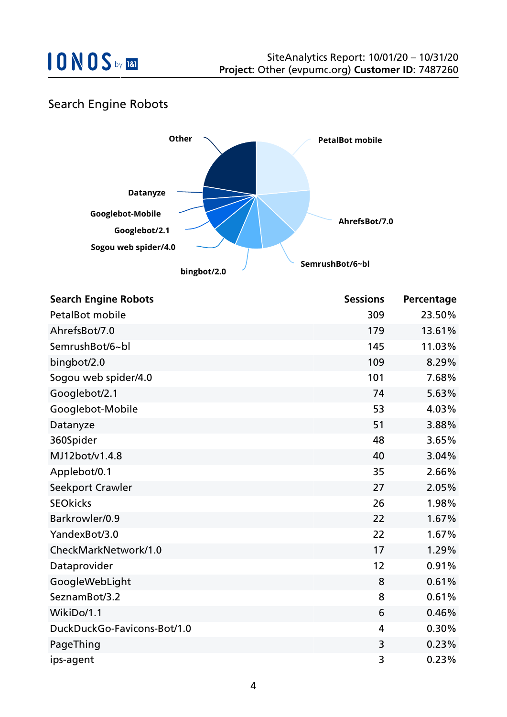

### Search Engine Robots



| <b>Search Engine Robots</b> | <b>Sessions</b> | Percentage |
|-----------------------------|-----------------|------------|
| <b>PetalBot mobile</b>      | 309             | 23.50%     |
| AhrefsBot/7.0               | 179             | 13.61%     |
| SemrushBot/6~bl             | 145             | 11.03%     |
| bingbot/2.0                 | 109             | 8.29%      |
| Sogou web spider/4.0        | 101             | 7.68%      |
| Googlebot/2.1               | 74              | 5.63%      |
| Googlebot-Mobile            | 53              | 4.03%      |
| Datanyze                    | 51              | 3.88%      |
| 360Spider                   | 48              | 3.65%      |
| MJ12bot/v1.4.8              | 40              | 3.04%      |
| Applebot/0.1                | 35              | 2.66%      |
| Seekport Crawler            | 27              | 2.05%      |
| <b>SEOkicks</b>             | 26              | 1.98%      |
| Barkrowler/0.9              | 22              | 1.67%      |
| YandexBot/3.0               | 22              | 1.67%      |
| CheckMarkNetwork/1.0        | 17              | 1.29%      |
| Dataprovider                | 12              | 0.91%      |
| GoogleWebLight              | 8               | 0.61%      |
| SeznamBot/3.2               | 8               | 0.61%      |
| WikiDo/1.1                  | 6               | 0.46%      |
| DuckDuckGo-Favicons-Bot/1.0 | 4               | 0.30%      |
| PageThing                   | 3               | 0.23%      |
| ips-agent                   | 3               | 0.23%      |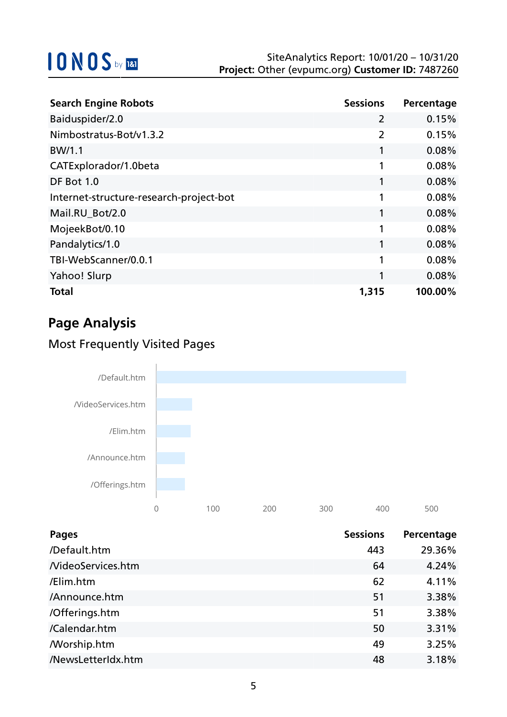| <b>Search Engine Robots</b>             | <b>Sessions</b> | Percentage |
|-----------------------------------------|-----------------|------------|
| Baiduspider/2.0                         | $\overline{2}$  | 0.15%      |
| Nimbostratus-Bot/v1.3.2                 | $\overline{2}$  | 0.15%      |
| BW/1.1                                  | 1               | 0.08%      |
| CATExplorador/1.0beta                   | 1               | 0.08%      |
| <b>DF Bot 1.0</b>                       |                 | 0.08%      |
| Internet-structure-research-project-bot | 1               | 0.08%      |
| Mail.RU_Bot/2.0                         | 1               | 0.08%      |
| MojeekBot/0.10                          | 1               | 0.08%      |
| Pandalytics/1.0                         |                 | 0.08%      |
| TBI-WebScanner/0.0.1                    | 1               | 0.08%      |
| Yahoo! Slurp                            | 1               | 0.08%      |
| <b>Total</b>                            | 1,315           | 100.00%    |

# **Page Analysis**

### Most Frequently Visited Pages



| Pages              | <b>Sessions</b> | Percentage |
|--------------------|-----------------|------------|
| /Default.htm       | 443             | 29.36%     |
| NideoServices.htm  | 64              | 4.24%      |
| /Elim.htm          | 62              | 4.11%      |
| /Announce.htm      | 51              | 3.38%      |
| /Offerings.htm     | 51              | 3.38%      |
| /Calendar.htm      | 50              | 3.31%      |
| /Worship.htm       | 49              | 3.25%      |
| /NewsLetterIdx.htm | 48              | 3.18%      |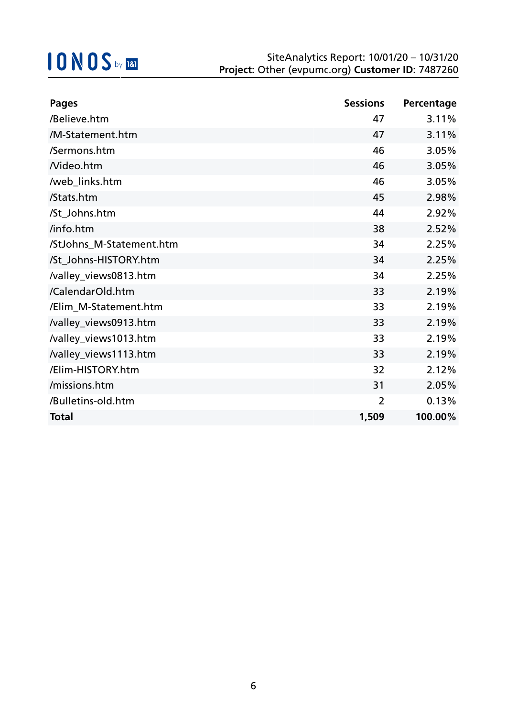| <b>Pages</b>             | <b>Sessions</b> | Percentage |
|--------------------------|-----------------|------------|
| /Believe.htm             | 47              | 3.11%      |
| /M-Statement.htm         | 47              | 3.11%      |
| /Sermons.htm             | 46              | 3.05%      |
| Nideo.htm                | 46              | 3.05%      |
| /web_links.htm           | 46              | 3.05%      |
| /Stats.htm               | 45              | 2.98%      |
| /St_Johns.htm            | 44              | 2.92%      |
| /info.htm                | 38              | 2.52%      |
| /StJohns_M-Statement.htm | 34              | 2.25%      |
| /St_Johns-HISTORY.htm    | 34              | 2.25%      |
| /valley_views0813.htm    | 34              | 2.25%      |
| /CalendarOld.htm         | 33              | 2.19%      |
| /Elim_M-Statement.htm    | 33              | 2.19%      |
| /valley_views0913.htm    | 33              | 2.19%      |
| /valley_views1013.htm    | 33              | 2.19%      |
| /valley_views1113.htm    | 33              | 2.19%      |
| /Elim-HISTORY.htm        | 32              | 2.12%      |
| /missions.htm            | 31              | 2.05%      |
| /Bulletins-old.htm       | $\overline{2}$  | 0.13%      |
| <b>Total</b>             | 1,509           | 100.00%    |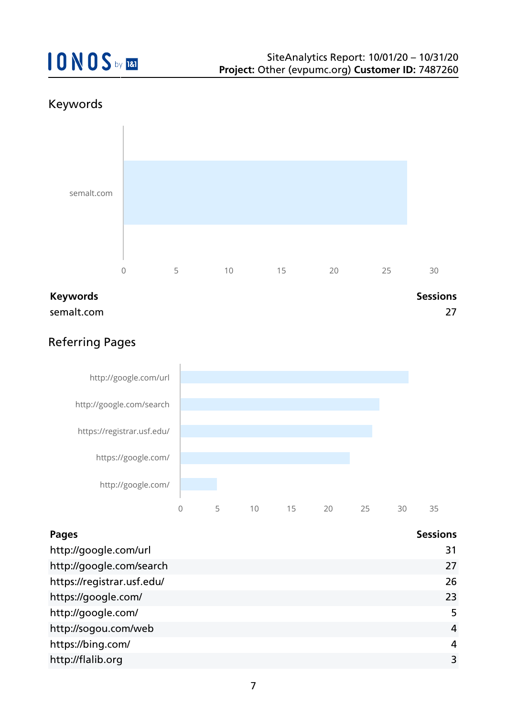### Keywords



semalt.com 27

### Referring Pages



| <b>Pages</b>               | <b>Sessions</b> |
|----------------------------|-----------------|
| http://google.com/url      | 31              |
| http://google.com/search   | 27              |
| https://registrar.usf.edu/ | 26              |
| https://google.com/        | 23              |
| http://google.com/         | 5               |
| http://sogou.com/web       | 4               |
| https://bing.com/          | 4               |
| http://flalib.org          | 3               |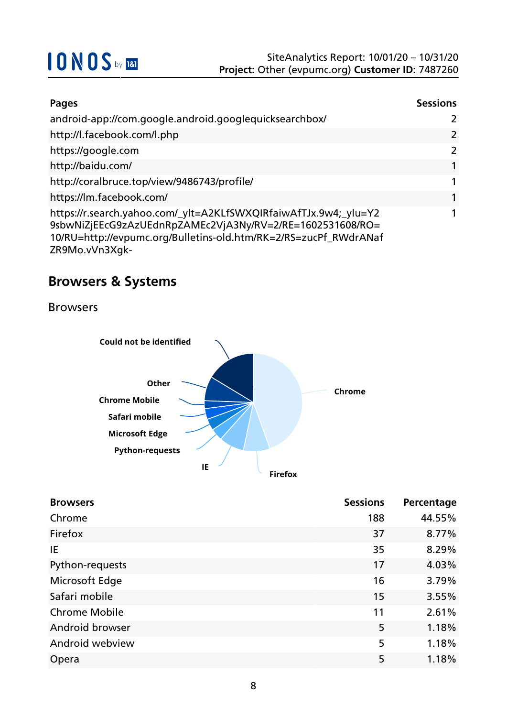| Pages                                                                                                                                                                                                               | <b>Sessions</b> |
|---------------------------------------------------------------------------------------------------------------------------------------------------------------------------------------------------------------------|-----------------|
| android-app://com.google.android.googlequicksearchbox/                                                                                                                                                              | $\mathcal{L}$   |
| http://l.facebook.com/l.php                                                                                                                                                                                         | 2               |
| https://google.com                                                                                                                                                                                                  | 2               |
| http://baidu.com/                                                                                                                                                                                                   | 1               |
| http://coralbruce.top/view/9486743/profile/                                                                                                                                                                         | 1               |
| https://lm.facebook.com/                                                                                                                                                                                            | 1               |
| https://r.search.yahoo.com/_ylt=A2KLfSWXQIRfaiwAfTJx.9w4;_ylu=Y2<br>9sbwNiZjEEcG9zAzUEdnRpZAMEc2VjA3Ny/RV=2/RE=1602531608/RO=<br>10/RU=http://evpumc.org/Bulletins-old.htm/RK=2/RS=zucPf_RWdrANaf<br>ZR9Mo.vVn3Xgk- |                 |

### **Browsers & Systems**

Browsers



| <b>Browsers</b>      | <b>Sessions</b> | Percentage |
|----------------------|-----------------|------------|
| Chrome               | 188             | 44.55%     |
| Firefox              | 37              | 8.77%      |
| IE                   | 35              | 8.29%      |
| Python-requests      | 17              | 4.03%      |
| Microsoft Edge       | 16              | 3.79%      |
| Safari mobile        | 15              | 3.55%      |
| <b>Chrome Mobile</b> | 11              | 2.61%      |
| Android browser      | 5               | 1.18%      |
| Android webview      | 5               | 1.18%      |
| Opera                | 5               | 1.18%      |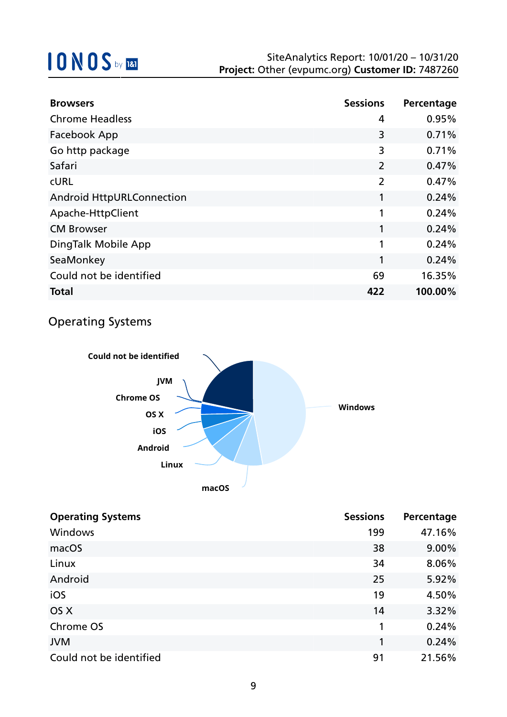| <b>Browsers</b>                  | <b>Sessions</b> | Percentage |
|----------------------------------|-----------------|------------|
| <b>Chrome Headless</b>           | 4               | 0.95%      |
| Facebook App                     | 3               | 0.71%      |
| Go http package                  | 3               | 0.71%      |
| Safari                           | $\overline{2}$  | 0.47%      |
| <b>CURL</b>                      | $\overline{2}$  | 0.47%      |
| <b>Android HttpURLConnection</b> | 1               | 0.24%      |
| Apache-HttpClient                | 1               | 0.24%      |
| <b>CM Browser</b>                | 1               | 0.24%      |
| DingTalk Mobile App              | 1               | 0.24%      |
| SeaMonkey                        | 1               | 0.24%      |
| Could not be identified          | 69              | 16.35%     |
| <b>Total</b>                     | 422             | 100.00%    |

### Operating Systems



| <b>Operating Systems</b> | <b>Sessions</b> | Percentage |
|--------------------------|-----------------|------------|
| Windows                  | 199             | 47.16%     |
| macOS                    | 38              | 9.00%      |
| Linux                    | 34              | 8.06%      |
| Android                  | 25              | 5.92%      |
| iOS                      | 19              | 4.50%      |
| OS X                     | 14              | 3.32%      |
| Chrome OS                | 1               | 0.24%      |
| <b>JVM</b>               | 1               | 0.24%      |
| Could not be identified  | 91              | 21.56%     |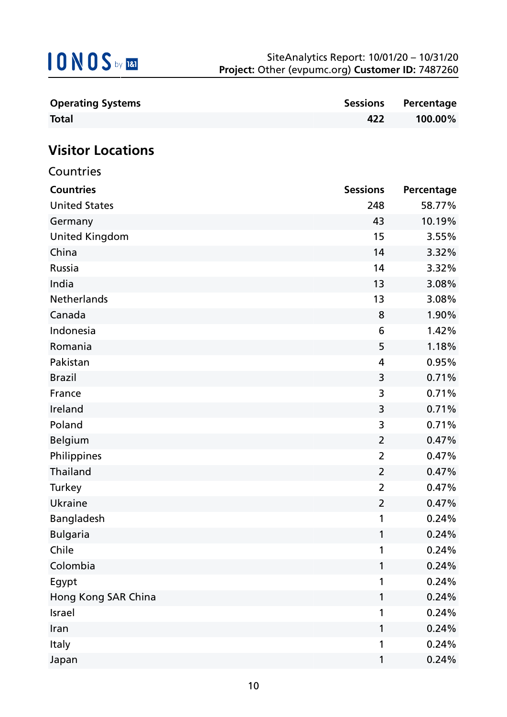| <b>Operating Systems</b> | <b>Sessions</b> | Percentage |
|--------------------------|-----------------|------------|
| <b>Total</b>             | 422             | 100.00%    |
|                          |                 |            |
| <b>Visitor Locations</b> |                 |            |
| Countries                |                 |            |
| <b>Countries</b>         | <b>Sessions</b> | Percentage |
| <b>United States</b>     | 248             | 58.77%     |
| Germany                  | 43              | 10.19%     |
| <b>United Kingdom</b>    | 15              | 3.55%      |
| China                    | 14              | 3.32%      |
| Russia                   | 14              | 3.32%      |
| India                    | 13              | 3.08%      |
| Netherlands              | 13              | 3.08%      |
| Canada                   | 8               | 1.90%      |
| Indonesia                | 6               | 1.42%      |
| Romania                  | 5               | 1.18%      |
| Pakistan                 | 4               | 0.95%      |
| <b>Brazil</b>            | 3               | 0.71%      |
| France                   | 3               | 0.71%      |
| Ireland                  | 3               | 0.71%      |
| Poland                   | 3               | 0.71%      |
| <b>Belgium</b>           | 2               | 0.47%      |
| Philippines              | $\overline{2}$  | 0.47%      |
| Thailand                 | $\overline{2}$  | 0.47%      |
| Turkey                   | $\overline{2}$  | 0.47%      |
| <b>Ukraine</b>           | $\overline{2}$  | 0.47%      |
| Bangladesh               | 1               | 0.24%      |
| <b>Bulgaria</b>          | 1               | 0.24%      |
| Chile                    | 1               | 0.24%      |
| Colombia                 | 1               | 0.24%      |
| Egypt                    | 1               | 0.24%      |
| Hong Kong SAR China      | 1               | 0.24%      |
| Israel                   | 1               | 0.24%      |
| Iran                     | 1               | 0.24%      |
| Italy                    | 1               | 0.24%      |

Japan 1 0.24%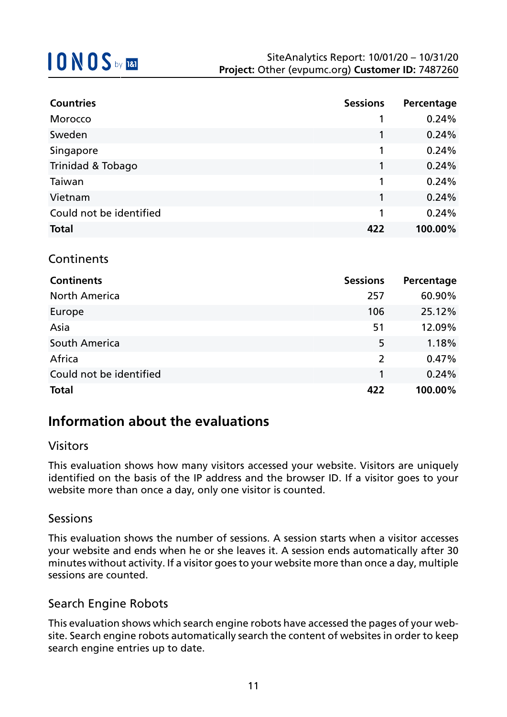| <b>Countries</b>        | <b>Sessions</b> | Percentage |
|-------------------------|-----------------|------------|
| Morocco                 |                 | 0.24%      |
| Sweden                  | 1               | 0.24%      |
| Singapore               | 1               | 0.24%      |
| Trinidad & Tobago       | 1               | 0.24%      |
| Taiwan                  | 1               | 0.24%      |
| Vietnam                 | 1               | 0.24%      |
| Could not be identified | 1               | 0.24%      |
| <b>Total</b>            | 422             | 100.00%    |
|                         |                 |            |
| Continents              |                 |            |

| <b>Continents</b>       | <b>Sessions</b> | Percentage |
|-------------------------|-----------------|------------|
| <b>North America</b>    | 257             | 60.90%     |
| Europe                  | 106             | 25.12%     |
| Asia                    | 51              | 12.09%     |
| South America           | 5               | 1.18%      |
| Africa                  | 2               | 0.47%      |
| Could not be identified | 1               | 0.24%      |
| <b>Total</b>            | 422             | 100.00%    |

### **Information about the evaluations**

#### Visitors

This evaluation shows how many visitors accessed your website. Visitors are uniquely identified on the basis of the IP address and the browser ID. If a visitor goes to your website more than once a day, only one visitor is counted.

#### Sessions

This evaluation shows the number of sessions. A session starts when a visitor accesses your website and ends when he or she leaves it. A session ends automatically after 30 minutes without activity. If a visitor goes to your website more than once a day, multiple sessions are counted.

#### Search Engine Robots

This evaluation shows which search engine robots have accessed the pages of your website. Search engine robots automatically search the content of websites in order to keep search engine entries up to date.